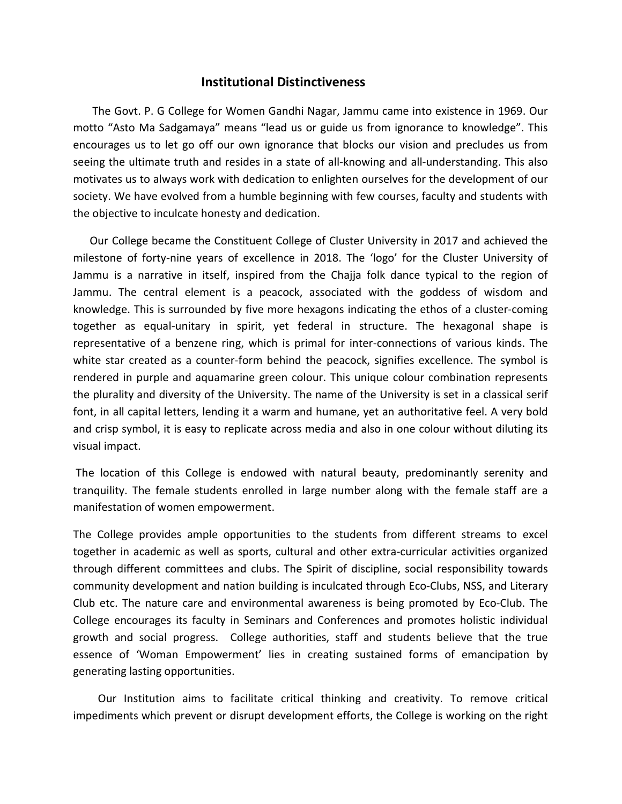## Institutional Distinctiveness

 The Govt. P. G College for Women Gandhi Nagar, Jammu came into existence in 1969. Our motto "Asto Ma Sadgamaya" means "lead us or guide us from ignorance to knowledge". This encourages us to let go off our own ignorance that blocks our vision and precludes us from seeing the ultimate truth and resides in a state of all-knowing and all-understanding. This also motivates us to always work with dedication to enlighten ourselves for the development of our society. We have evolved from a humble beginning with few courses, faculty and students with the objective to inculcate honesty and dedication.

 Our College became the Constituent College of Cluster University in 2017 and achieved the milestone of forty-nine years of excellence in 2018. The 'logo' for the Cluster University of Jammu is a narrative in itself, inspired from the Chajja folk dance typical to the region of Jammu. The central element is a peacock, associated with the goddess of wisdom and knowledge. This is surrounded by five more hexagons indicating the ethos of a cluster-coming together as equal-unitary in spirit, yet federal in structure. The hexagonal shape is representative of a benzene ring, which is primal for inter-connections of various kinds. The white star created as a counter-form behind the peacock, signifies excellence. The symbol is rendered in purple and aquamarine green colour. This unique colour combination represents the plurality and diversity of the University. The name of the University is set in a classical serif font, in all capital letters, lending it a warm and humane, yet an authoritative feel. A very bold and crisp symbol, it is easy to replicate across media and also in one colour without diluting its visual impact.

 The location of this College is endowed with natural beauty, predominantly serenity and tranquility. The female students enrolled in large number along with the female staff are a manifestation of women empowerment.

The College provides ample opportunities to the students from different streams to excel together in academic as well as sports, cultural and other extra-curricular activities organized through different committees and clubs. The Spirit of discipline, social responsibility towards community development and nation building is inculcated through Eco-Clubs, NSS, and Literary Club etc. The nature care and environmental awareness is being promoted by Eco-Club. The College encourages its faculty in Seminars and Conferences and promotes holistic individual growth and social progress. College authorities, staff and students believe that the true essence of 'Woman Empowerment' lies in creating sustained forms of emancipation by generating lasting opportunities.

 Our Institution aims to facilitate critical thinking and creativity. To remove critical impediments which prevent or disrupt development efforts, the College is working on the right